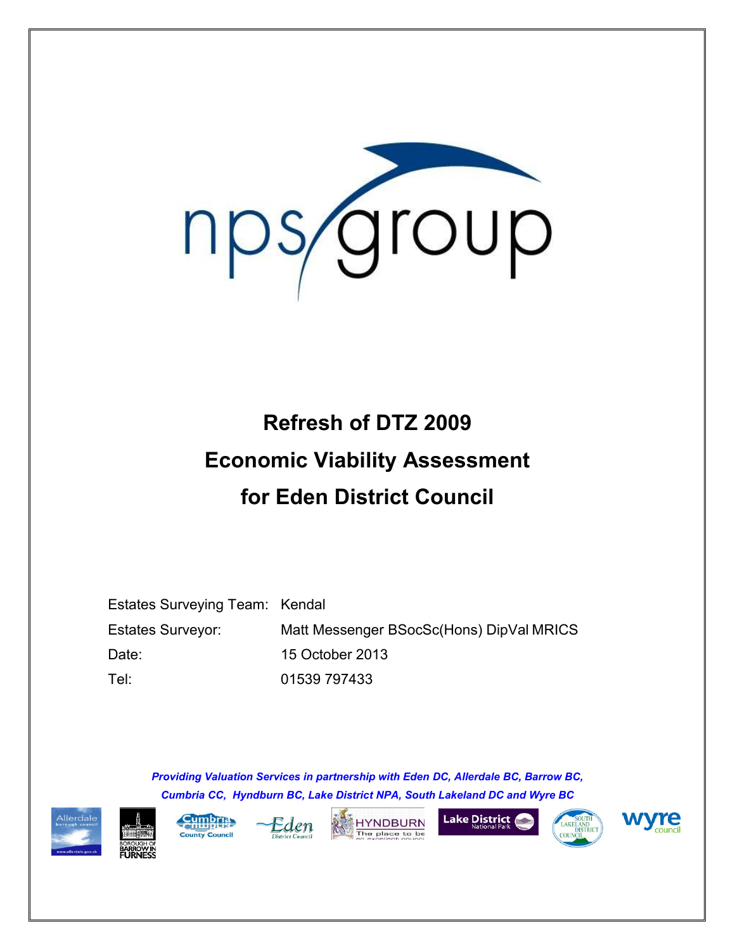

# **Refresh of DTZ 2009 Economic Viability Assessment for Eden District Council**

| Estates Surveying Team: Kendal |                                          |
|--------------------------------|------------------------------------------|
| <b>Estates Surveyor:</b>       | Matt Messenger BSocSc(Hons) DipVal MRICS |
| Date:                          | 15 October 2013                          |
| Tel:                           | 01539 797433                             |

*Providing Valuation Services in partnership with Eden DC, Allerdale BC, Barrow BC, Cumbria CC, Hyndburn BC, Lake District NPA, South Lakeland DC and Wyre BC*











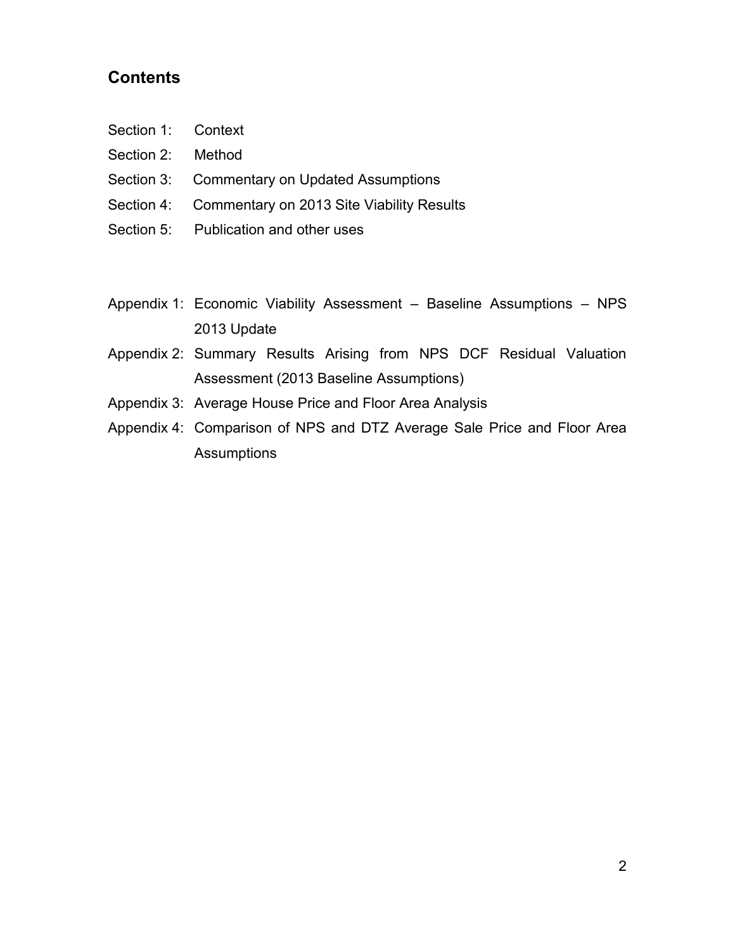# **Contents**

- Section 1: Context
- Section 2: Method
- Section 3: Commentary on Updated Assumptions
- Section 4: Commentary on 2013 Site Viability Results
- Section 5: Publication and other uses
- Appendix 1: Economic Viability Assessment Baseline Assumptions NPS 2013 Update
- Appendix 2: Summary Results Arising from NPS DCF Residual Valuation Assessment (2013 Baseline Assumptions)
- Appendix 3: Average House Price and Floor Area Analysis
- Appendix 4: Comparison of NPS and DTZ Average Sale Price and Floor Area Assumptions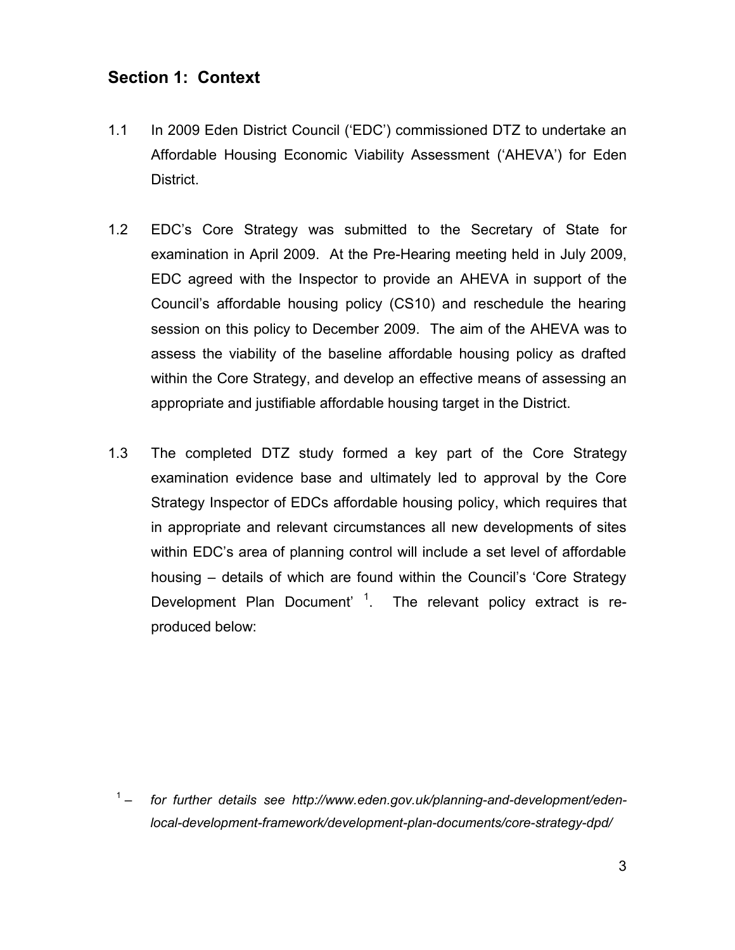# **Section 1: Context**

- 1.1 In 2009 Eden District Council ("EDC") commissioned DTZ to undertake an Affordable Housing Economic Viability Assessment ("AHEVA") for Eden District.
- 1.2 EDC"s Core Strategy was submitted to the Secretary of State for examination in April 2009. At the Pre-Hearing meeting held in July 2009, EDC agreed with the Inspector to provide an AHEVA in support of the Council"s affordable housing policy (CS10) and reschedule the hearing session on this policy to December 2009. The aim of the AHEVA was to assess the viability of the baseline affordable housing policy as drafted within the Core Strategy, and develop an effective means of assessing an appropriate and justifiable affordable housing target in the District.
- 1.3 The completed DTZ study formed a key part of the Core Strategy examination evidence base and ultimately led to approval by the Core Strategy Inspector of EDCs affordable housing policy, which requires that in appropriate and relevant circumstances all new developments of sites within EDC's area of planning control will include a set level of affordable housing – details of which are found within the Council"s "Core Strategy Development Plan Document'  $1$ . The relevant policy extract is reproduced below:

<sup>1</sup> - for further details see http://www.eden.gov.uk/planning-and-development/eden*local-development-framework/development-plan-documents/core-strategy-dpd/*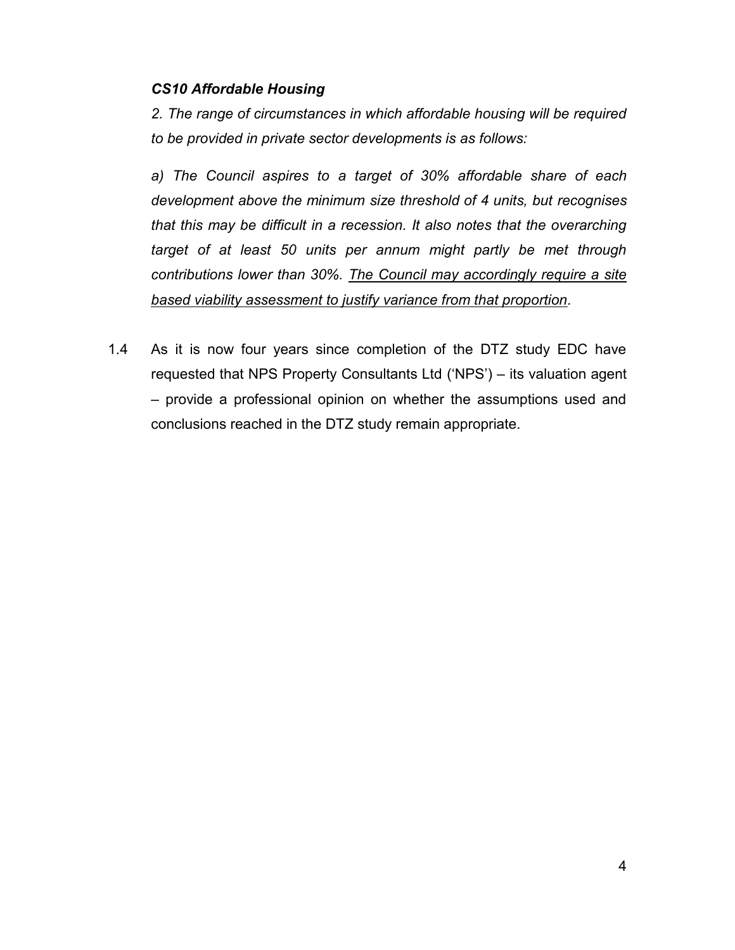## *CS10 Affordable Housing*

*2. The range of circumstances in which affordable housing will be required to be provided in private sector developments is as follows:* 

*a) The Council aspires to a target of 30% affordable share of each development above the minimum size threshold of 4 units, but recognises that this may be difficult in a recession. It also notes that the overarching target of at least 50 units per annum might partly be met through contributions lower than 30%. The Council may accordingly require a site based viability assessment to justify variance from that proportion.*

1.4 As it is now four years since completion of the DTZ study EDC have requested that NPS Property Consultants Ltd ("NPS") – its valuation agent – provide a professional opinion on whether the assumptions used and conclusions reached in the DTZ study remain appropriate.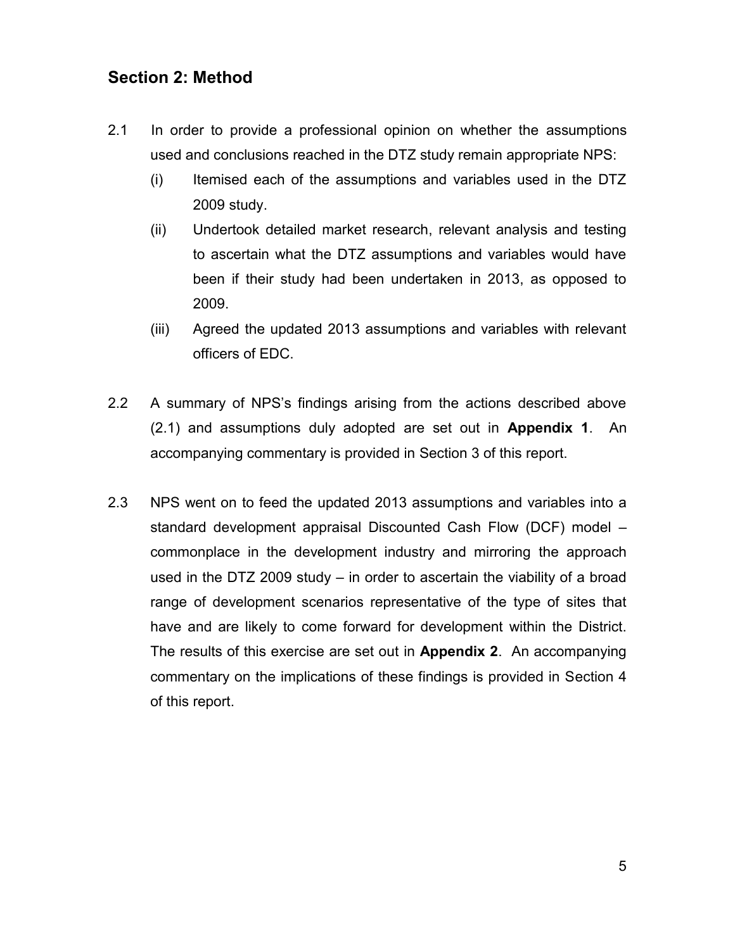# **Section 2: Method**

- 2.1 In order to provide a professional opinion on whether the assumptions used and conclusions reached in the DTZ study remain appropriate NPS:
	- (i) Itemised each of the assumptions and variables used in the DTZ 2009 study.
	- (ii) Undertook detailed market research, relevant analysis and testing to ascertain what the DTZ assumptions and variables would have been if their study had been undertaken in 2013, as opposed to 2009.
	- (iii) Agreed the updated 2013 assumptions and variables with relevant officers of EDC.
- 2.2 A summary of NPS"s findings arising from the actions described above (2.1) and assumptions duly adopted are set out in **Appendix 1**. An accompanying commentary is provided in Section 3 of this report.
- 2.3 NPS went on to feed the updated 2013 assumptions and variables into a standard development appraisal Discounted Cash Flow (DCF) model – commonplace in the development industry and mirroring the approach used in the DTZ 2009 study – in order to ascertain the viability of a broad range of development scenarios representative of the type of sites that have and are likely to come forward for development within the District. The results of this exercise are set out in **Appendix 2**. An accompanying commentary on the implications of these findings is provided in Section 4 of this report.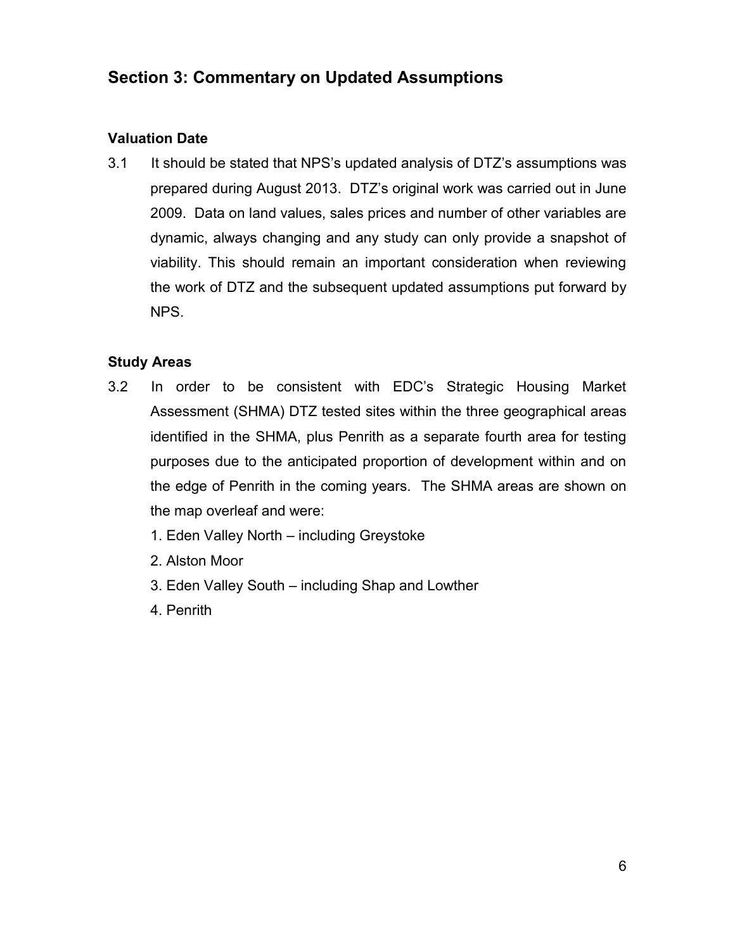# **Section 3: Commentary on Updated Assumptions**

## **Valuation Date**

3.1 It should be stated that NPS"s updated analysis of DTZ"s assumptions was prepared during August 2013. DTZ"s original work was carried out in June 2009. Data on land values, sales prices and number of other variables are dynamic, always changing and any study can only provide a snapshot of viability. This should remain an important consideration when reviewing the work of DTZ and the subsequent updated assumptions put forward by NPS.

## **Study Areas**

- 3.2 In order to be consistent with EDC"s Strategic Housing Market Assessment (SHMA) DTZ tested sites within the three geographical areas identified in the SHMA, plus Penrith as a separate fourth area for testing purposes due to the anticipated proportion of development within and on the edge of Penrith in the coming years. The SHMA areas are shown on the map overleaf and were:
	- 1. Eden Valley North including Greystoke
	- 2. Alston Moor
	- 3. Eden Valley South including Shap and Lowther
	- 4. Penrith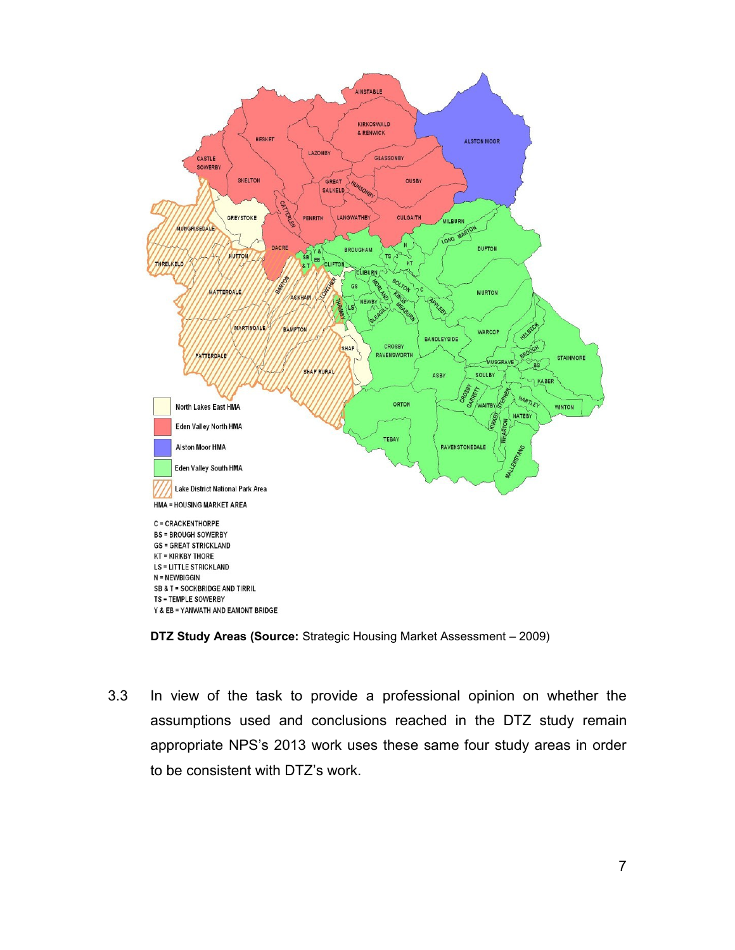

**DTZ Study Areas (Source:** Strategic Housing Market Assessment – 2009)

3.3 In view of the task to provide a professional opinion on whether the assumptions used and conclusions reached in the DTZ study remain appropriate NPS's 2013 work uses these same four study areas in order to be consistent with DTZ"s work.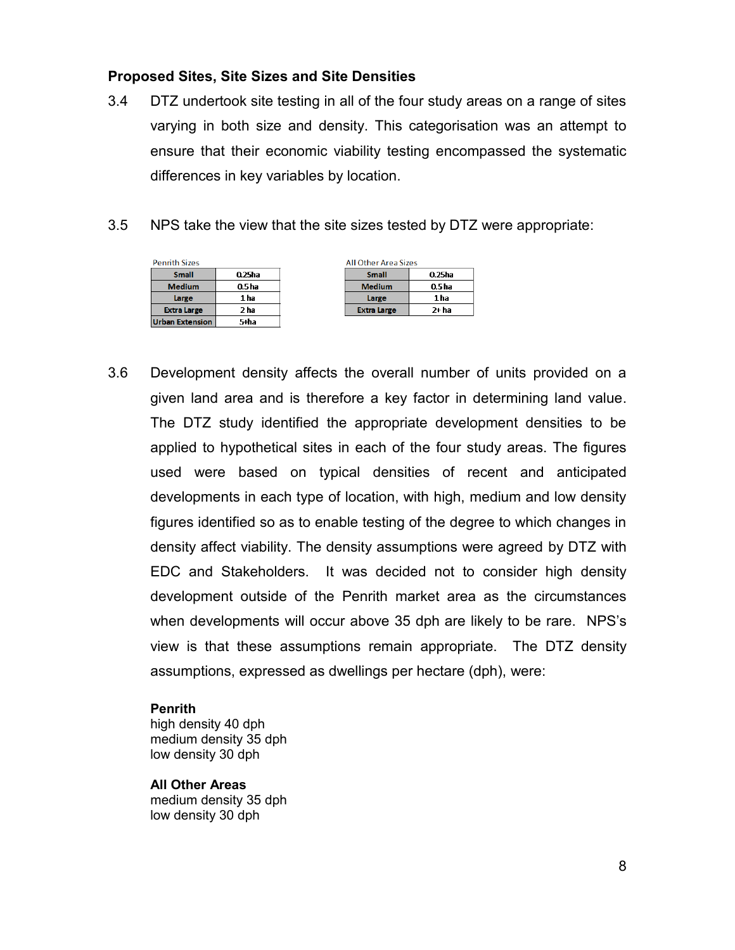## **Proposed Sites, Site Sizes and Site Densities**

- 3.4 DTZ undertook site testing in all of the four study areas on a range of sites varying in both size and density. This categorisation was an attempt to ensure that their economic viability testing encompassed the systematic differences in key variables by location.
- 3.5 NPS take the view that the site sizes tested by DTZ were appropriate:

| <b>Penrith Sizes</b>   |        |
|------------------------|--------|
| <b>Small</b>           | 0.25ha |
| <b>Medium</b>          | 0.5 ha |
| Large                  | 1 ha   |
| <b>Extra Large</b>     | 2 ha   |
| <b>Urban Extension</b> | 5+ha   |

| <b>All Other Area Sizes</b> |        |  |  |  |
|-----------------------------|--------|--|--|--|
| <b>Small</b>                | 0.25ha |  |  |  |
| <b>Medium</b>               | 0.5 ha |  |  |  |
| Large                       | 1 ha   |  |  |  |
| <b>Extra Large</b>          | 2+ ha  |  |  |  |
|                             |        |  |  |  |

3.6 Development density affects the overall number of units provided on a given land area and is therefore a key factor in determining land value. The DTZ study identified the appropriate development densities to be applied to hypothetical sites in each of the four study areas. The figures used were based on typical densities of recent and anticipated developments in each type of location, with high, medium and low density figures identified so as to enable testing of the degree to which changes in density affect viability. The density assumptions were agreed by DTZ with EDC and Stakeholders. It was decided not to consider high density development outside of the Penrith market area as the circumstances when developments will occur above 35 dph are likely to be rare. NPS's view is that these assumptions remain appropriate. The DTZ density assumptions, expressed as dwellings per hectare (dph), were:

#### **Penrith**

high density 40 dph medium density 35 dph low density 30 dph

**All Other Areas**  medium density 35 dph low density 30 dph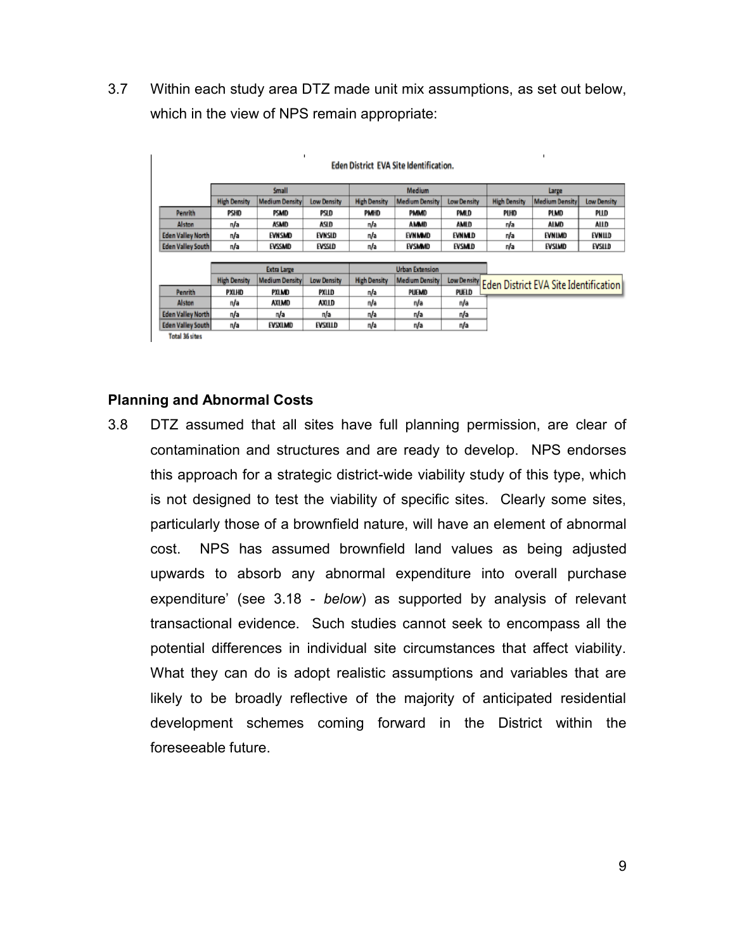3.7 Within each study area DTZ made unit mix assumptions, as set out below, which in the view of NPS remain appropriate:

| <b>Eden District EVA Site Identification.</b> |                     |                       |                        |                     |                       |               |                                       |                       |                    |
|-----------------------------------------------|---------------------|-----------------------|------------------------|---------------------|-----------------------|---------------|---------------------------------------|-----------------------|--------------------|
|                                               | <b>Small</b>        |                       |                        | Medium              |                       |               | Large                                 |                       |                    |
|                                               | <b>High Density</b> | <b>Medium Density</b> | Low Density            | <b>High Density</b> | <b>Medium Density</b> | Low Density   | <b>High Density</b>                   | <b>Medium Density</b> | <b>Low Density</b> |
| Penrith                                       | pshid               | psmd                  | PSLD                   | pmhd                | pmmd                  | <b>PMLD</b>   | PUHD                                  | pimd                  | PLID               |
| <b>Alston</b>                                 | n/a                 | ASMD                  | ASLD                   | n/a                 | <b>AMMD</b>           | <b>AMID</b>   | n/a                                   | <b>ALMD</b>           | <b>ALLD</b>        |
| <b>Eden Valley North</b>                      | n/a                 | <b>EVN SMD</b>        | EVNSLD                 | n/a                 | <b>EVN MMD</b>        | <b>EVNMLD</b> | n/a                                   | <b>EVN LMD</b>        | EVNILD             |
| <b>Eden Valley South</b>                      | n/a                 | EVSSMD                | EVSSLD                 | n/a                 | EVSMMD                | EVSMLD        | n/a                                   | EVSIMD                | EVSLID             |
|                                               |                     |                       |                        |                     |                       |               |                                       |                       |                    |
|                                               | <b>Extra Large</b>  |                       | <b>Urban Extension</b> |                     |                       |               |                                       |                       |                    |
|                                               | <b>High Density</b> | <b>Medium Density</b> | <b>Low Density</b>     | <b>High Density</b> | <b>Medium Density</b> | Low Density   |                                       |                       |                    |
| Penrith                                       | PXLHD               | PXLMD                 | PXLLD                  | n/a                 | PUEMD                 | PUELD         | Eden District EVA Site Identification |                       |                    |
| Alston                                        | π/a                 | <b>AXLMD</b>          | AXIID                  | n/a                 | n/a                   | n/a           |                                       |                       |                    |
| <b>Eden Valley North</b>                      | n/a                 | n/a                   | n/a                    | n/a                 | n/a                   | n/a           |                                       |                       |                    |
| <b>Eden Valley South</b>                      | n/a                 | EVSXLMD               | EVSXILD                | n/a                 | n/a                   | n/a           |                                       |                       |                    |
| <b>Total 36 sites</b>                         |                     |                       |                        |                     |                       |               |                                       |                       |                    |

Total 36 sites

#### **Planning and Abnormal Costs**

3.8 DTZ assumed that all sites have full planning permission, are clear of contamination and structures and are ready to develop. NPS endorses this approach for a strategic district-wide viability study of this type, which is not designed to test the viability of specific sites. Clearly some sites, particularly those of a brownfield nature, will have an element of abnormal cost. NPS has assumed brownfield land values as being adjusted upwards to absorb any abnormal expenditure into overall purchase expenditure" (see 3.18 - *below*) as supported by analysis of relevant transactional evidence. Such studies cannot seek to encompass all the potential differences in individual site circumstances that affect viability. What they can do is adopt realistic assumptions and variables that are likely to be broadly reflective of the majority of anticipated residential development schemes coming forward in the District within the foreseeable future.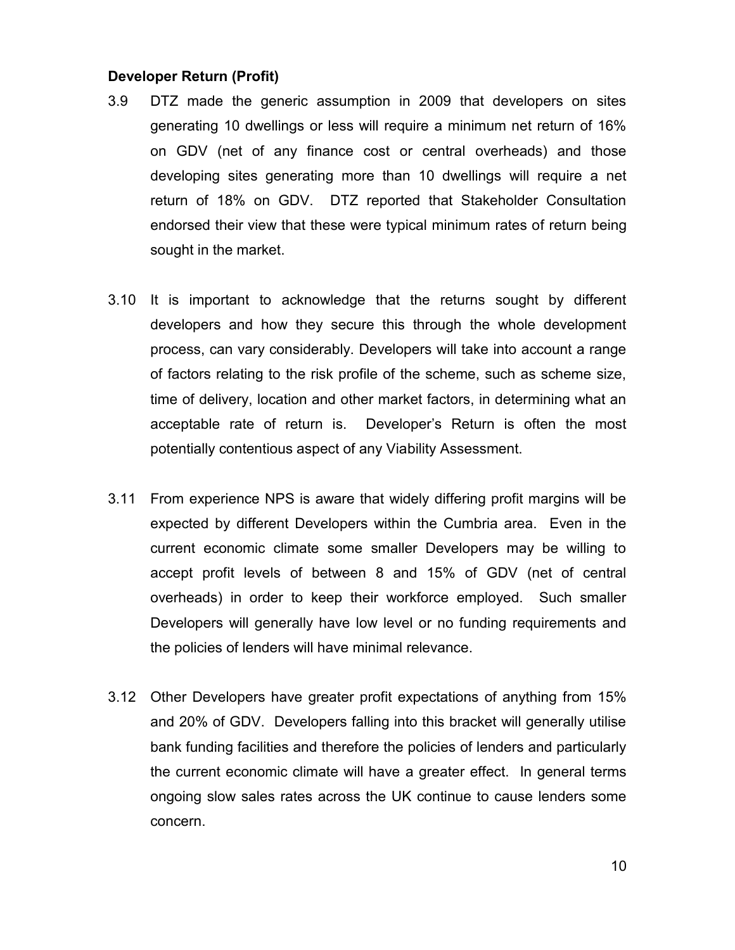#### **Developer Return (Profit)**

- 3.9 DTZ made the generic assumption in 2009 that developers on sites generating 10 dwellings or less will require a minimum net return of 16% on GDV (net of any finance cost or central overheads) and those developing sites generating more than 10 dwellings will require a net return of 18% on GDV. DTZ reported that Stakeholder Consultation endorsed their view that these were typical minimum rates of return being sought in the market.
- 3.10 It is important to acknowledge that the returns sought by different developers and how they secure this through the whole development process, can vary considerably. Developers will take into account a range of factors relating to the risk profile of the scheme, such as scheme size, time of delivery, location and other market factors, in determining what an acceptable rate of return is. Developer"s Return is often the most potentially contentious aspect of any Viability Assessment.
- 3.11 From experience NPS is aware that widely differing profit margins will be expected by different Developers within the Cumbria area. Even in the current economic climate some smaller Developers may be willing to accept profit levels of between 8 and 15% of GDV (net of central overheads) in order to keep their workforce employed. Such smaller Developers will generally have low level or no funding requirements and the policies of lenders will have minimal relevance.
- 3.12 Other Developers have greater profit expectations of anything from 15% and 20% of GDV. Developers falling into this bracket will generally utilise bank funding facilities and therefore the policies of lenders and particularly the current economic climate will have a greater effect. In general terms ongoing slow sales rates across the UK continue to cause lenders some concern.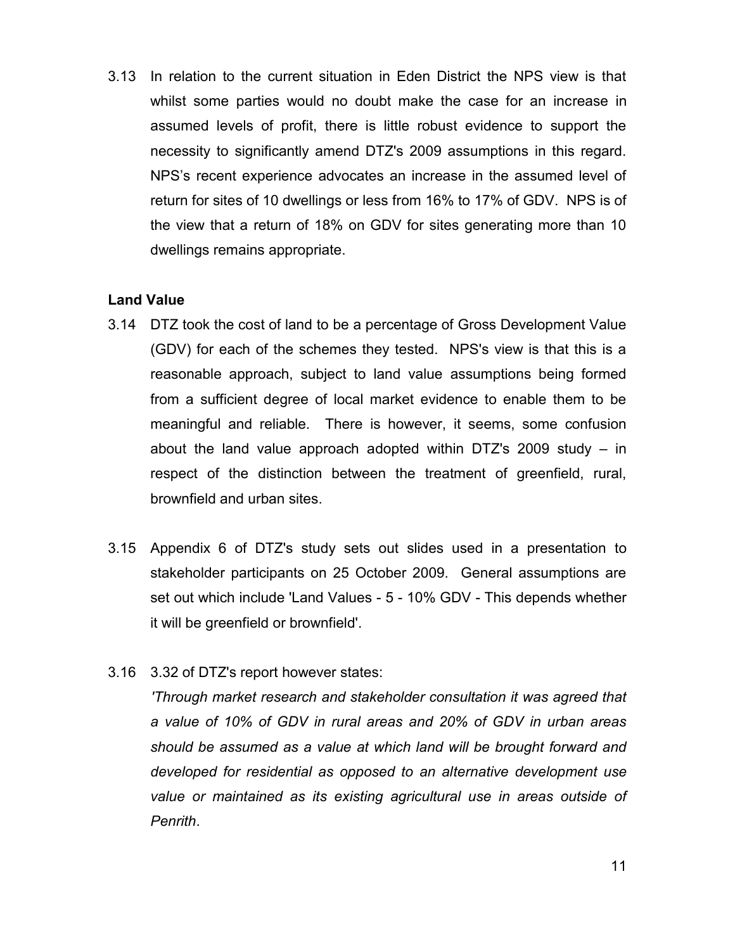3.13 In relation to the current situation in Eden District the NPS view is that whilst some parties would no doubt make the case for an increase in assumed levels of profit, there is little robust evidence to support the necessity to significantly amend DTZ's 2009 assumptions in this regard. NPS"s recent experience advocates an increase in the assumed level of return for sites of 10 dwellings or less from 16% to 17% of GDV. NPS is of the view that a return of 18% on GDV for sites generating more than 10 dwellings remains appropriate.

## **Land Value**

- 3.14 DTZ took the cost of land to be a percentage of Gross Development Value (GDV) for each of the schemes they tested. NPS's view is that this is a reasonable approach, subject to land value assumptions being formed from a sufficient degree of local market evidence to enable them to be meaningful and reliable. There is however, it seems, some confusion about the land value approach adopted within DTZ's 2009 study – in respect of the distinction between the treatment of greenfield, rural, brownfield and urban sites.
- 3.15 Appendix 6 of DTZ's study sets out slides used in a presentation to stakeholder participants on 25 October 2009. General assumptions are set out which include 'Land Values - 5 - 10% GDV - This depends whether it will be greenfield or brownfield'.

#### 3.16 3.32 of DTZ's report however states:

*'Through market research and stakeholder consultation it was agreed that a value of 10% of GDV in rural areas and 20% of GDV in urban areas should be assumed as a value at which land will be brought forward and developed for residential as opposed to an alternative development use value or maintained as its existing agricultural use in areas outside of Penrith*.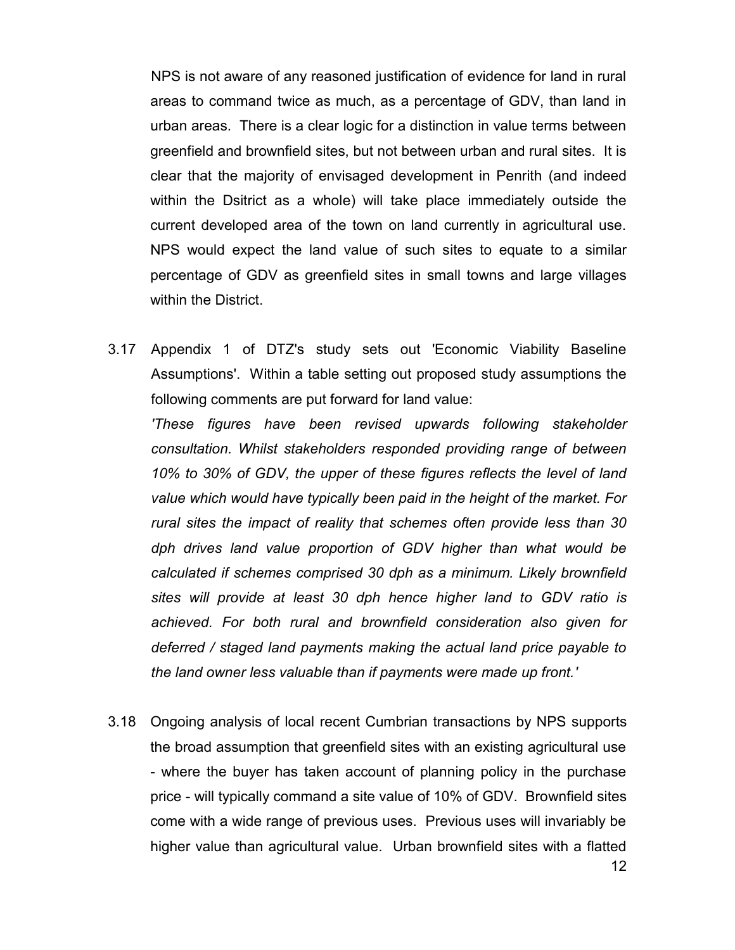NPS is not aware of any reasoned justification of evidence for land in rural areas to command twice as much, as a percentage of GDV, than land in urban areas. There is a clear logic for a distinction in value terms between greenfield and brownfield sites, but not between urban and rural sites. It is clear that the majority of envisaged development in Penrith (and indeed within the Dsitrict as a whole) will take place immediately outside the current developed area of the town on land currently in agricultural use. NPS would expect the land value of such sites to equate to a similar percentage of GDV as greenfield sites in small towns and large villages within the District.

3.17 Appendix 1 of DTZ's study sets out 'Economic Viability Baseline Assumptions'. Within a table setting out proposed study assumptions the following comments are put forward for land value:

*'These figures have been revised upwards following stakeholder consultation. Whilst stakeholders responded providing range of between 10% to 30% of GDV, the upper of these figures reflects the level of land value which would have typically been paid in the height of the market. For rural sites the impact of reality that schemes often provide less than 30 dph drives land value proportion of GDV higher than what would be calculated if schemes comprised 30 dph as a minimum. Likely brownfield sites will provide at least 30 dph hence higher land to GDV ratio is achieved. For both rural and brownfield consideration also given for deferred / staged land payments making the actual land price payable to the land owner less valuable than if payments were made up front.'*

3.18 Ongoing analysis of local recent Cumbrian transactions by NPS supports the broad assumption that greenfield sites with an existing agricultural use - where the buyer has taken account of planning policy in the purchase price - will typically command a site value of 10% of GDV. Brownfield sites come with a wide range of previous uses. Previous uses will invariably be higher value than agricultural value. Urban brownfield sites with a flatted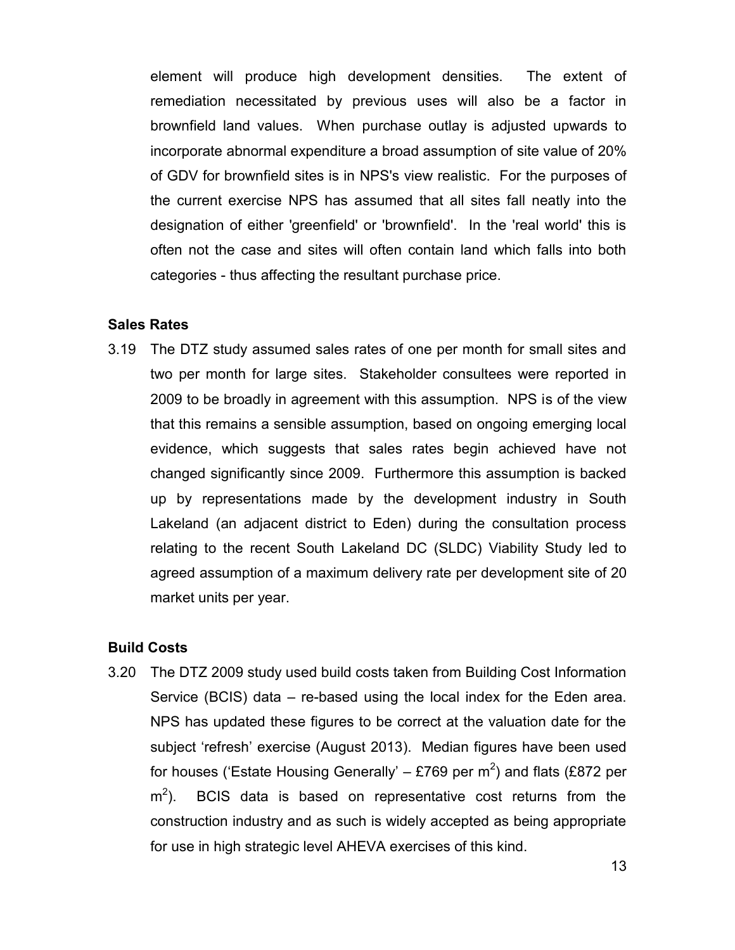element will produce high development densities. The extent of remediation necessitated by previous uses will also be a factor in brownfield land values. When purchase outlay is adjusted upwards to incorporate abnormal expenditure a broad assumption of site value of 20% of GDV for brownfield sites is in NPS's view realistic. For the purposes of the current exercise NPS has assumed that all sites fall neatly into the designation of either 'greenfield' or 'brownfield'. In the 'real world' this is often not the case and sites will often contain land which falls into both categories - thus affecting the resultant purchase price.

#### **Sales Rates**

3.19 The DTZ study assumed sales rates of one per month for small sites and two per month for large sites. Stakeholder consultees were reported in 2009 to be broadly in agreement with this assumption. NPS is of the view that this remains a sensible assumption, based on ongoing emerging local evidence, which suggests that sales rates begin achieved have not changed significantly since 2009. Furthermore this assumption is backed up by representations made by the development industry in South Lakeland (an adjacent district to Eden) during the consultation process relating to the recent South Lakeland DC (SLDC) Viability Study led to agreed assumption of a maximum delivery rate per development site of 20 market units per year.

#### **Build Costs**

3.20 The DTZ 2009 study used build costs taken from Building Cost Information Service (BCIS) data – re-based using the local index for the Eden area. NPS has updated these figures to be correct at the valuation date for the subject "refresh" exercise (August 2013). Median figures have been used for houses ('Estate Housing Generally' – £769 per m<sup>2</sup>) and flats (£872 per  $m<sup>2</sup>$ ). BCIS data is based on representative cost returns from the construction industry and as such is widely accepted as being appropriate for use in high strategic level AHEVA exercises of this kind.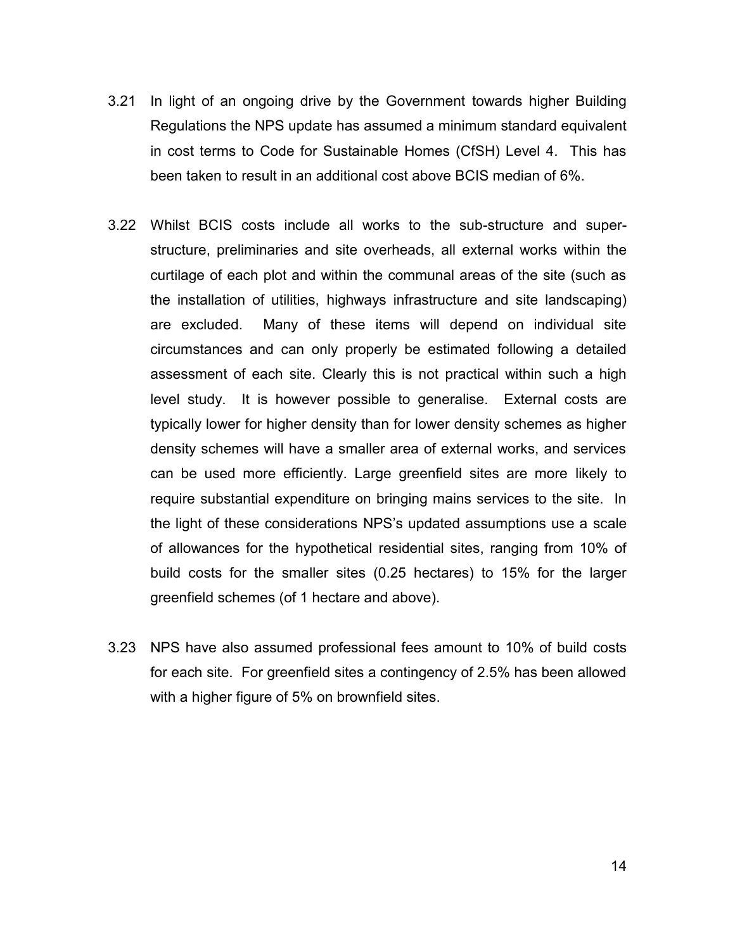- 3.21 In light of an ongoing drive by the Government towards higher Building Regulations the NPS update has assumed a minimum standard equivalent in cost terms to Code for Sustainable Homes (CfSH) Level 4. This has been taken to result in an additional cost above BCIS median of 6%.
- 3.22 Whilst BCIS costs include all works to the sub-structure and superstructure, preliminaries and site overheads, all external works within the curtilage of each plot and within the communal areas of the site (such as the installation of utilities, highways infrastructure and site landscaping) are excluded. Many of these items will depend on individual site circumstances and can only properly be estimated following a detailed assessment of each site. Clearly this is not practical within such a high level study. It is however possible to generalise. External costs are typically lower for higher density than for lower density schemes as higher density schemes will have a smaller area of external works, and services can be used more efficiently. Large greenfield sites are more likely to require substantial expenditure on bringing mains services to the site. In the light of these considerations NPS"s updated assumptions use a scale of allowances for the hypothetical residential sites, ranging from 10% of build costs for the smaller sites (0.25 hectares) to 15% for the larger greenfield schemes (of 1 hectare and above).
- 3.23 NPS have also assumed professional fees amount to 10% of build costs for each site. For greenfield sites a contingency of 2.5% has been allowed with a higher figure of 5% on brownfield sites.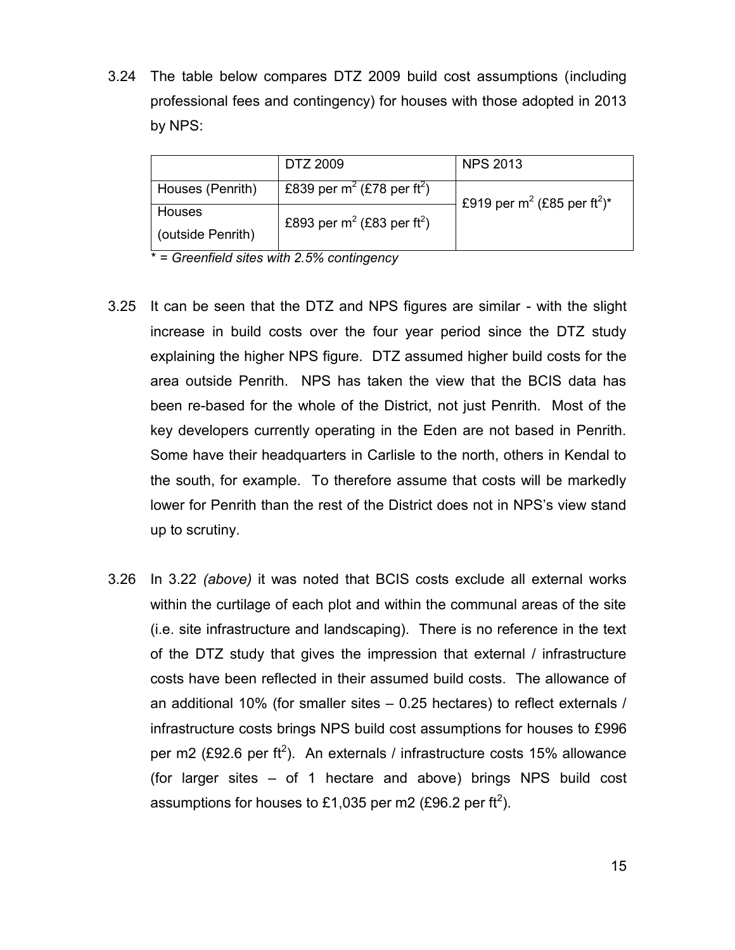3.24 The table below compares DTZ 2009 build cost assumptions (including professional fees and contingency) for houses with those adopted in 2013 by NPS:

|                   | DTZ 2009                                           | <b>NPS 2013</b>                                                 |  |  |
|-------------------|----------------------------------------------------|-----------------------------------------------------------------|--|--|
| Houses (Penrith)  | £839 per m <sup>2</sup> (£78 per ft <sup>2</sup> ) | £919 per m <sup>2</sup> (£85 per ft <sup>2</sup> ) <sup>*</sup> |  |  |
| <b>Houses</b>     | £893 per m <sup>2</sup> (£83 per ft <sup>2</sup> ) |                                                                 |  |  |
| (outside Penrith) |                                                    |                                                                 |  |  |

\* = *Greenfield sites with 2.5% contingency*

- 3.25 It can be seen that the DTZ and NPS figures are similar with the slight increase in build costs over the four year period since the DTZ study explaining the higher NPS figure. DTZ assumed higher build costs for the area outside Penrith. NPS has taken the view that the BCIS data has been re-based for the whole of the District, not just Penrith. Most of the key developers currently operating in the Eden are not based in Penrith. Some have their headquarters in Carlisle to the north, others in Kendal to the south, for example. To therefore assume that costs will be markedly lower for Penrith than the rest of the District does not in NPS"s view stand up to scrutiny.
- 3.26 In 3.22 *(above)* it was noted that BCIS costs exclude all external works within the curtilage of each plot and within the communal areas of the site (i.e. site infrastructure and landscaping). There is no reference in the text of the DTZ study that gives the impression that external / infrastructure costs have been reflected in their assumed build costs. The allowance of an additional 10% (for smaller sites – 0.25 hectares) to reflect externals / infrastructure costs brings NPS build cost assumptions for houses to £996 per m2 (£92.6 per ft<sup>2</sup>). An externals / infrastructure costs 15% allowance (for larger sites – of 1 hectare and above) brings NPS build cost assumptions for houses to £1,035 per m2 (£96.2 per ft<sup>2</sup>).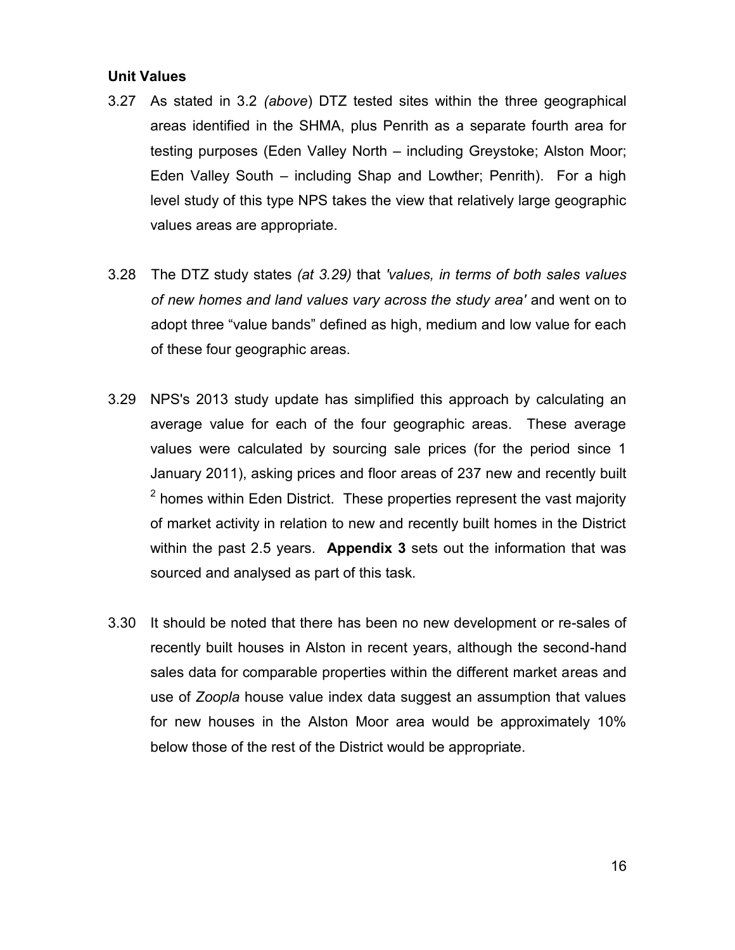#### **Unit Values**

- 3.27 As stated in 3.2 *(above*) DTZ tested sites within the three geographical areas identified in the SHMA, plus Penrith as a separate fourth area for testing purposes (Eden Valley North – including Greystoke; Alston Moor; Eden Valley South – including Shap and Lowther; Penrith). For a high level study of this type NPS takes the view that relatively large geographic values areas are appropriate.
- 3.28 The DTZ study states *(at 3.29)* that *'values, in terms of both sales values of new homes and land values vary across the study area'* and went on to adopt three "value bands" defined as high, medium and low value for each of these four geographic areas.
- 3.29 NPS's 2013 study update has simplified this approach by calculating an average value for each of the four geographic areas. These average values were calculated by sourcing sale prices (for the period since 1 January 2011), asking prices and floor areas of 237 new and recently built  $2$  homes within Eden District. These properties represent the vast majority of market activity in relation to new and recently built homes in the District within the past 2.5 years. **Appendix 3** sets out the information that was sourced and analysed as part of this task.
- 3.30 It should be noted that there has been no new development or re-sales of recently built houses in Alston in recent years, although the second-hand sales data for comparable properties within the different market areas and use of *Zoopla* house value index data suggest an assumption that values for new houses in the Alston Moor area would be approximately 10% below those of the rest of the District would be appropriate.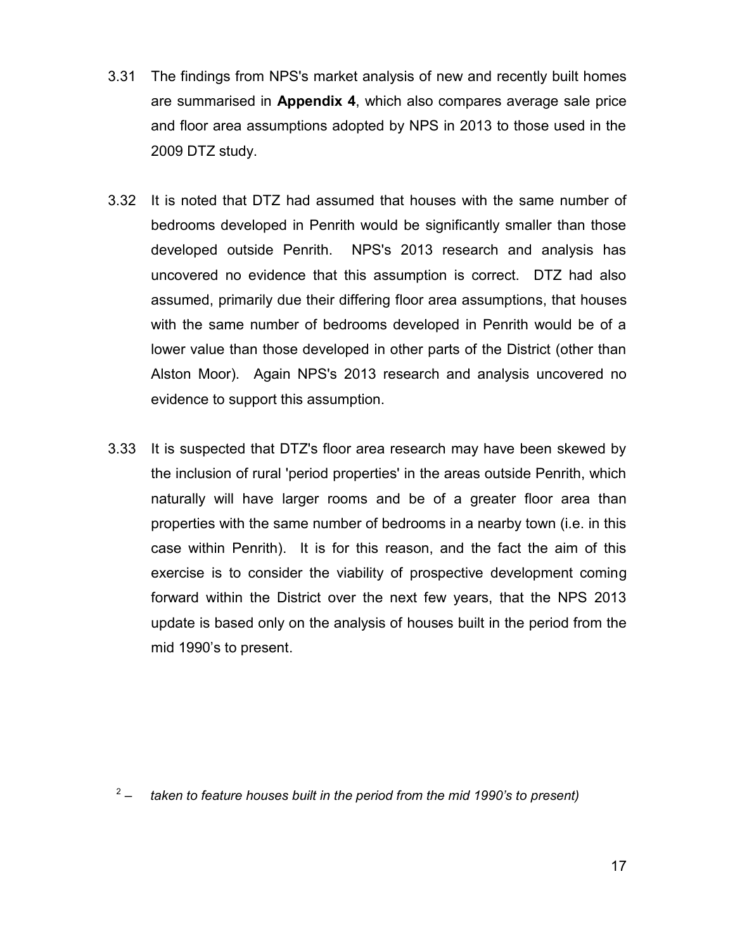- 3.31 The findings from NPS's market analysis of new and recently built homes are summarised in **Appendix 4**, which also compares average sale price and floor area assumptions adopted by NPS in 2013 to those used in the 2009 DTZ study.
- 3.32 It is noted that DTZ had assumed that houses with the same number of bedrooms developed in Penrith would be significantly smaller than those developed outside Penrith. NPS's 2013 research and analysis has uncovered no evidence that this assumption is correct. DTZ had also assumed, primarily due their differing floor area assumptions, that houses with the same number of bedrooms developed in Penrith would be of a lower value than those developed in other parts of the District (other than Alston Moor). Again NPS's 2013 research and analysis uncovered no evidence to support this assumption.
- 3.33 It is suspected that DTZ's floor area research may have been skewed by the inclusion of rural 'period properties' in the areas outside Penrith, which naturally will have larger rooms and be of a greater floor area than properties with the same number of bedrooms in a nearby town (i.e. in this case within Penrith). It is for this reason, and the fact the aim of this exercise is to consider the viability of prospective development coming forward within the District over the next few years, that the NPS 2013 update is based only on the analysis of houses built in the period from the mid 1990"s to present.

 $2^{2}$ – *taken to feature houses built in the period from the mid 1990's to present)*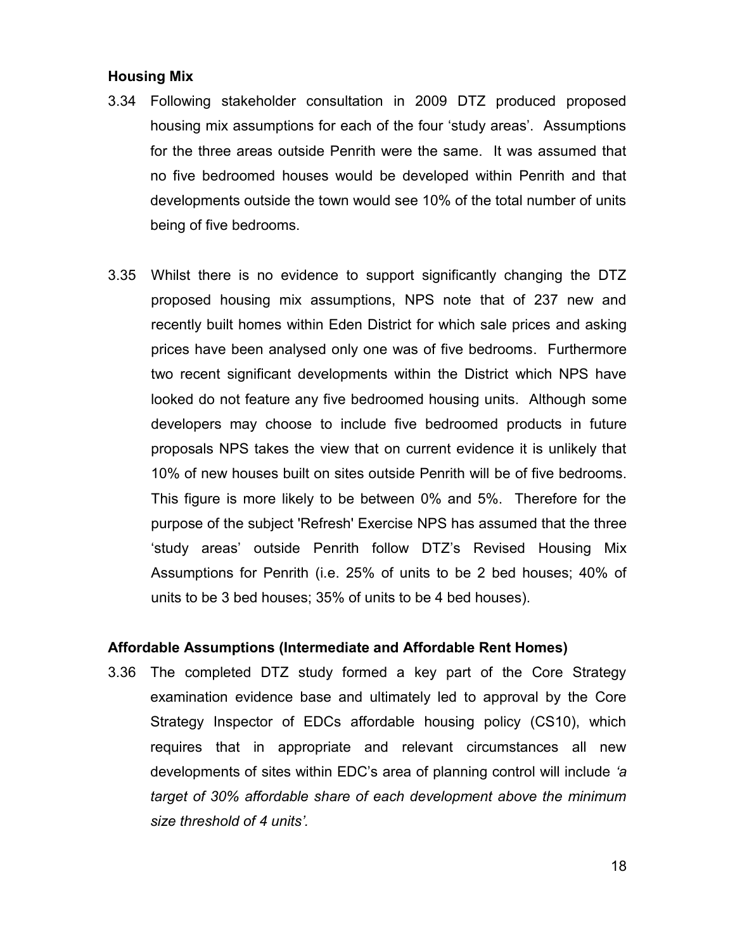#### **Housing Mix**

- 3.34 Following stakeholder consultation in 2009 DTZ produced proposed housing mix assumptions for each of the four "study areas". Assumptions for the three areas outside Penrith were the same. It was assumed that no five bedroomed houses would be developed within Penrith and that developments outside the town would see 10% of the total number of units being of five bedrooms.
- 3.35 Whilst there is no evidence to support significantly changing the DTZ proposed housing mix assumptions, NPS note that of 237 new and recently built homes within Eden District for which sale prices and asking prices have been analysed only one was of five bedrooms. Furthermore two recent significant developments within the District which NPS have looked do not feature any five bedroomed housing units. Although some developers may choose to include five bedroomed products in future proposals NPS takes the view that on current evidence it is unlikely that 10% of new houses built on sites outside Penrith will be of five bedrooms. This figure is more likely to be between 0% and 5%. Therefore for the purpose of the subject 'Refresh' Exercise NPS has assumed that the three "study areas" outside Penrith follow DTZ"s Revised Housing Mix Assumptions for Penrith (i.e. 25% of units to be 2 bed houses; 40% of units to be 3 bed houses; 35% of units to be 4 bed houses).

#### **Affordable Assumptions (Intermediate and Affordable Rent Homes)**

3.36 The completed DTZ study formed a key part of the Core Strategy examination evidence base and ultimately led to approval by the Core Strategy Inspector of EDCs affordable housing policy (CS10), which requires that in appropriate and relevant circumstances all new developments of sites within EDC"s area of planning control will include *'a target of 30% affordable share of each development above the minimum size threshold of 4 units'.*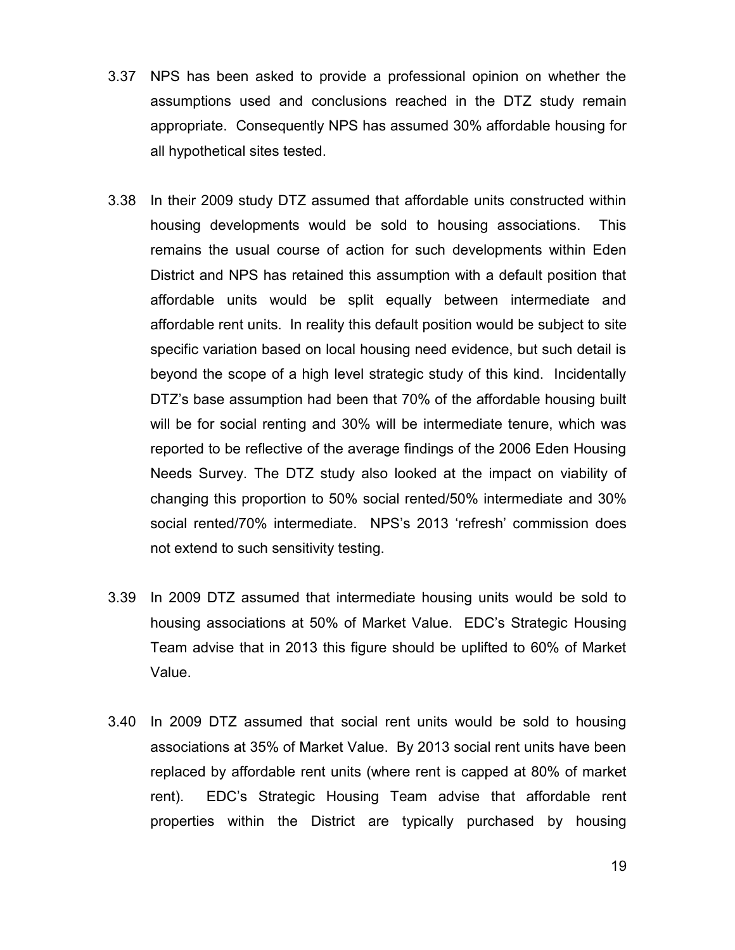- 3.37 NPS has been asked to provide a professional opinion on whether the assumptions used and conclusions reached in the DTZ study remain appropriate. Consequently NPS has assumed 30% affordable housing for all hypothetical sites tested.
- 3.38 In their 2009 study DTZ assumed that affordable units constructed within housing developments would be sold to housing associations. This remains the usual course of action for such developments within Eden District and NPS has retained this assumption with a default position that affordable units would be split equally between intermediate and affordable rent units. In reality this default position would be subject to site specific variation based on local housing need evidence, but such detail is beyond the scope of a high level strategic study of this kind. Incidentally DTZ"s base assumption had been that 70% of the affordable housing built will be for social renting and 30% will be intermediate tenure, which was reported to be reflective of the average findings of the 2006 Eden Housing Needs Survey. The DTZ study also looked at the impact on viability of changing this proportion to 50% social rented/50% intermediate and 30% social rented/70% intermediate. NPS's 2013 'refresh' commission does not extend to such sensitivity testing.
- 3.39 In 2009 DTZ assumed that intermediate housing units would be sold to housing associations at 50% of Market Value. EDC"s Strategic Housing Team advise that in 2013 this figure should be uplifted to 60% of Market Value.
- 3.40 In 2009 DTZ assumed that social rent units would be sold to housing associations at 35% of Market Value. By 2013 social rent units have been replaced by affordable rent units (where rent is capped at 80% of market rent). EDC"s Strategic Housing Team advise that affordable rent properties within the District are typically purchased by housing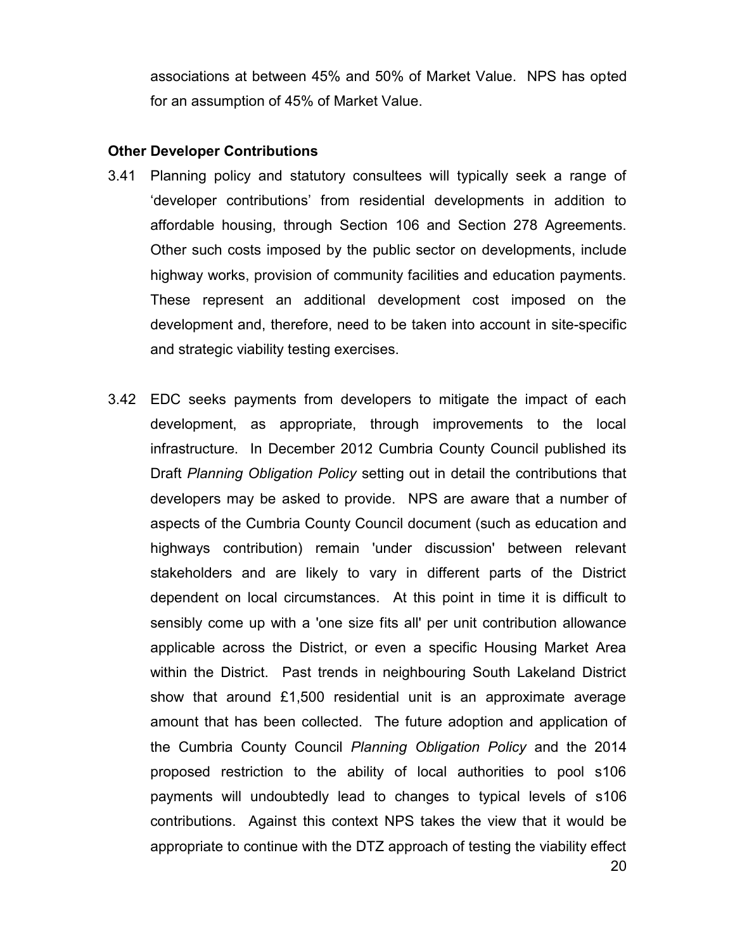associations at between 45% and 50% of Market Value. NPS has opted for an assumption of 45% of Market Value.

#### **Other Developer Contributions**

- 3.41 Planning policy and statutory consultees will typically seek a range of "developer contributions" from residential developments in addition to affordable housing, through Section 106 and Section 278 Agreements. Other such costs imposed by the public sector on developments, include highway works, provision of community facilities and education payments. These represent an additional development cost imposed on the development and, therefore, need to be taken into account in site-specific and strategic viability testing exercises.
- 20 3.42 EDC seeks payments from developers to mitigate the impact of each development, as appropriate, through improvements to the local infrastructure. In December 2012 Cumbria County Council published its Draft *Planning Obligation Policy* setting out in detail the contributions that developers may be asked to provide. NPS are aware that a number of aspects of the Cumbria County Council document (such as education and highways contribution) remain 'under discussion' between relevant stakeholders and are likely to vary in different parts of the District dependent on local circumstances. At this point in time it is difficult to sensibly come up with a 'one size fits all' per unit contribution allowance applicable across the District, or even a specific Housing Market Area within the District. Past trends in neighbouring South Lakeland District show that around £1,500 residential unit is an approximate average amount that has been collected. The future adoption and application of the Cumbria County Council *Planning Obligation Policy* and the 2014 proposed restriction to the ability of local authorities to pool s106 payments will undoubtedly lead to changes to typical levels of s106 contributions. Against this context NPS takes the view that it would be appropriate to continue with the DTZ approach of testing the viability effect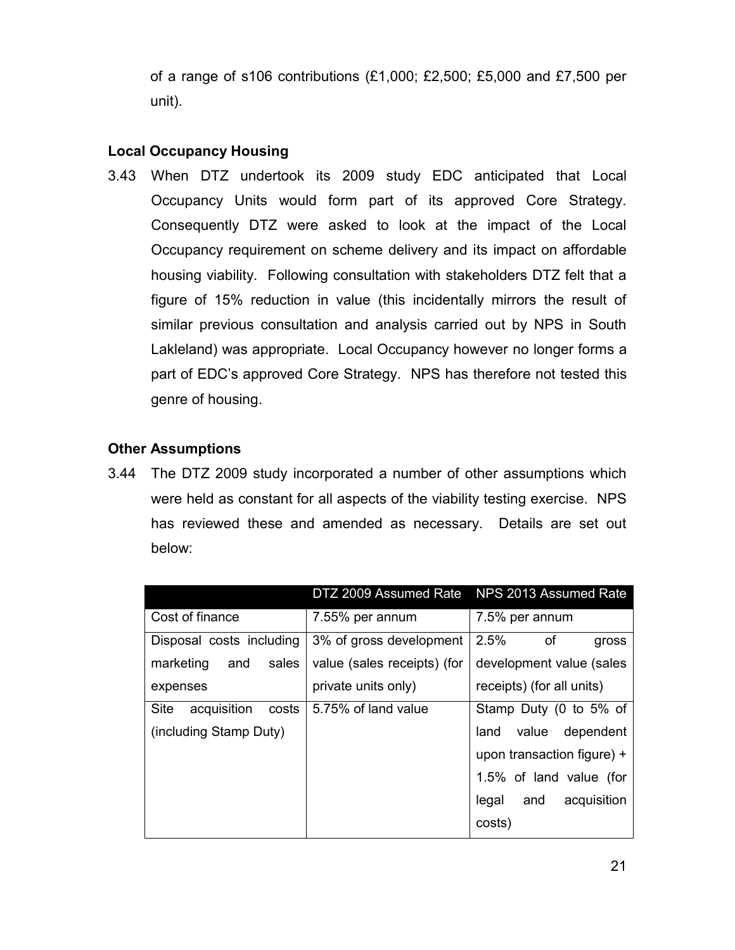of a range of s106 contributions (£1,000; £2,500; £5,000 and £7,500 per unit).

## **Local Occupancy Housing**

3.43 When DTZ undertook its 2009 study EDC anticipated that Local Occupancy Units would form part of its approved Core Strategy. Consequently DTZ were asked to look at the impact of the Local Occupancy requirement on scheme delivery and its impact on affordable housing viability. Following consultation with stakeholders DTZ felt that a figure of 15% reduction in value (this incidentally mirrors the result of similar previous consultation and analysis carried out by NPS in South Lakleland) was appropriate. Local Occupancy however no longer forms a part of EDC"s approved Core Strategy. NPS has therefore not tested this genre of housing.

## **Other Assumptions**

3.44 The DTZ 2009 study incorporated a number of other assumptions which were held as constant for all aspects of the viability testing exercise. NPS has reviewed these and amended as necessary. Details are set out below:

|                                     | DTZ 2009 Assumed Rate       | NPS 2013 Assumed Rate       |
|-------------------------------------|-----------------------------|-----------------------------|
| Cost of finance                     | 7.55% per annum             | 7.5% per annum              |
| Disposal costs including            | 3% of gross development     | $2.5\%$<br>of<br>gross      |
| sales<br>and<br>marketing           | value (sales receipts) (for | development value (sales    |
| expenses                            | private units only)         | receipts) (for all units)   |
| <b>Site</b><br>acquisition<br>costs | 5.75% of land value         | Stamp Duty (0 to 5% of      |
| (including Stamp Duty)              |                             | value dependent<br>land     |
|                                     |                             | upon transaction figure) +  |
|                                     |                             | 1.5% of land value (for     |
|                                     |                             | legal<br>acquisition<br>and |
|                                     |                             | costs)                      |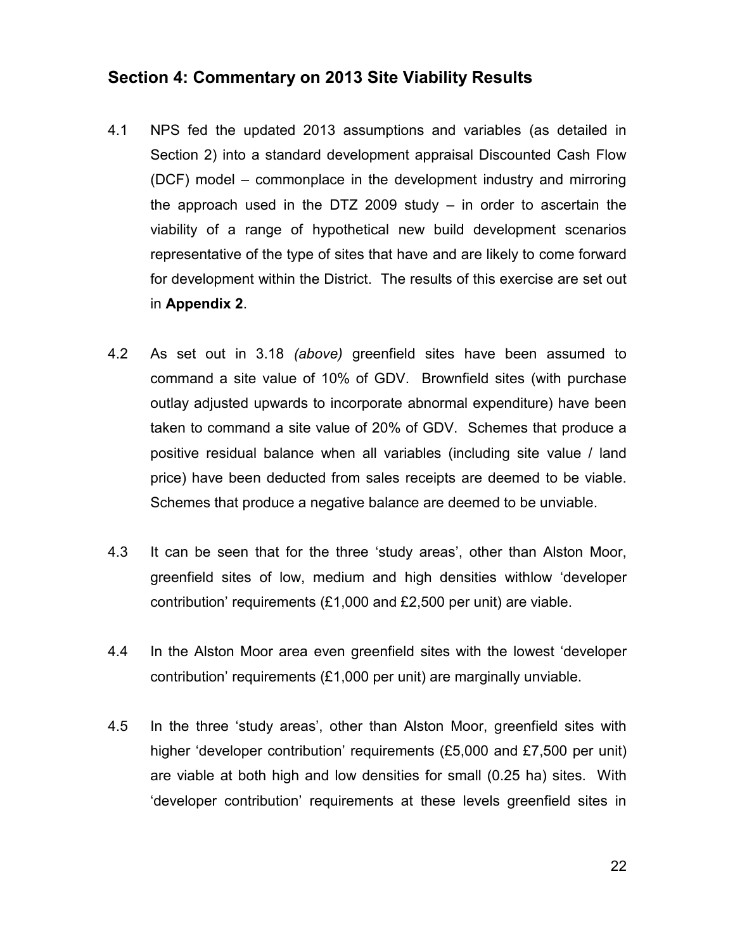# **Section 4: Commentary on 2013 Site Viability Results**

- 4.1 NPS fed the updated 2013 assumptions and variables (as detailed in Section 2) into a standard development appraisal Discounted Cash Flow (DCF) model – commonplace in the development industry and mirroring the approach used in the DTZ 2009 study – in order to ascertain the viability of a range of hypothetical new build development scenarios representative of the type of sites that have and are likely to come forward for development within the District. The results of this exercise are set out in **Appendix 2**.
- 4.2 As set out in 3.18 *(above)* greenfield sites have been assumed to command a site value of 10% of GDV. Brownfield sites (with purchase outlay adjusted upwards to incorporate abnormal expenditure) have been taken to command a site value of 20% of GDV. Schemes that produce a positive residual balance when all variables (including site value / land price) have been deducted from sales receipts are deemed to be viable. Schemes that produce a negative balance are deemed to be unviable.
- 4.3 It can be seen that for the three "study areas", other than Alston Moor, greenfield sites of low, medium and high densities withlow "developer contribution' requirements  $(E1,000$  and  $E2,500$  per unit) are viable.
- 4.4 In the Alston Moor area even greenfield sites with the lowest "developer contribution' requirements (£1,000 per unit) are marginally unviable.
- 4.5 In the three "study areas", other than Alston Moor, greenfield sites with higher 'developer contribution' requirements (£5,000 and £7,500 per unit) are viable at both high and low densities for small (0.25 ha) sites. With "developer contribution" requirements at these levels greenfield sites in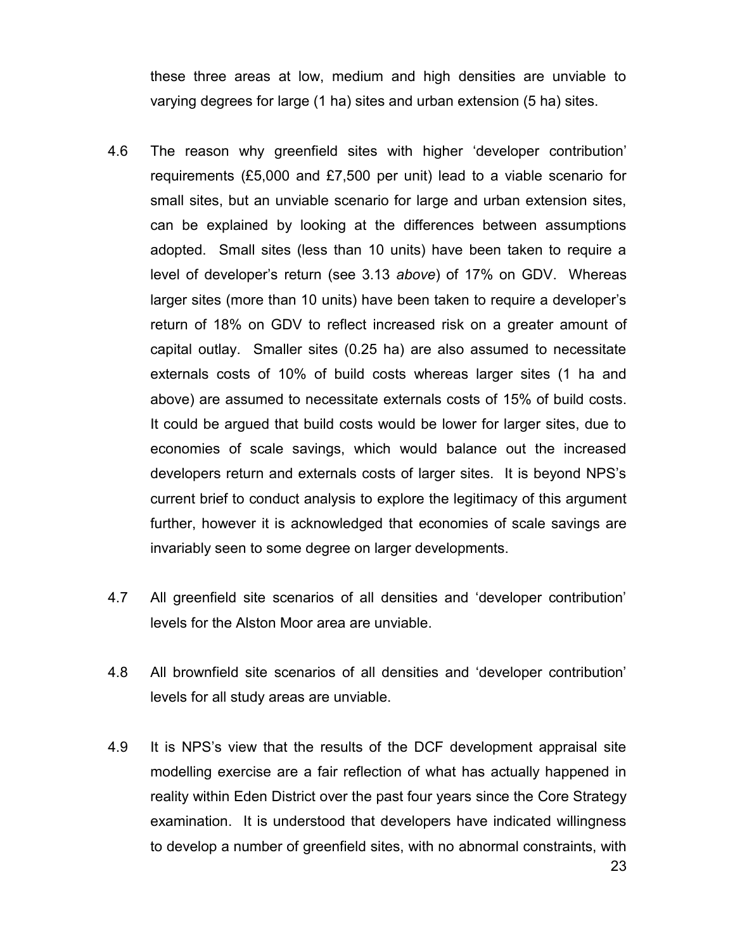these three areas at low, medium and high densities are unviable to varying degrees for large (1 ha) sites and urban extension (5 ha) sites.

- 4.6 The reason why greenfield sites with higher "developer contribution" requirements (£5,000 and £7,500 per unit) lead to a viable scenario for small sites, but an unviable scenario for large and urban extension sites, can be explained by looking at the differences between assumptions adopted. Small sites (less than 10 units) have been taken to require a level of developer"s return (see 3.13 *above*) of 17% on GDV. Whereas larger sites (more than 10 units) have been taken to require a developer"s return of 18% on GDV to reflect increased risk on a greater amount of capital outlay. Smaller sites (0.25 ha) are also assumed to necessitate externals costs of 10% of build costs whereas larger sites (1 ha and above) are assumed to necessitate externals costs of 15% of build costs. It could be argued that build costs would be lower for larger sites, due to economies of scale savings, which would balance out the increased developers return and externals costs of larger sites. It is beyond NPS"s current brief to conduct analysis to explore the legitimacy of this argument further, however it is acknowledged that economies of scale savings are invariably seen to some degree on larger developments.
- 4.7 All greenfield site scenarios of all densities and "developer contribution" levels for the Alston Moor area are unviable.
- 4.8 All brownfield site scenarios of all densities and "developer contribution" levels for all study areas are unviable.
- 23 4.9 It is NPS"s view that the results of the DCF development appraisal site modelling exercise are a fair reflection of what has actually happened in reality within Eden District over the past four years since the Core Strategy examination. It is understood that developers have indicated willingness to develop a number of greenfield sites, with no abnormal constraints, with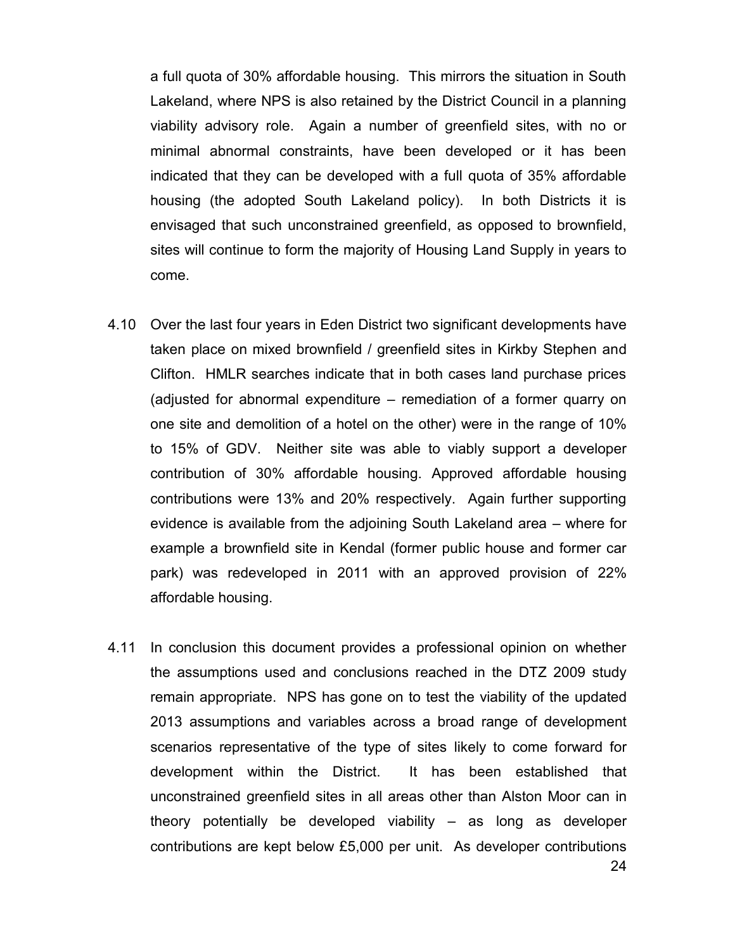a full quota of 30% affordable housing. This mirrors the situation in South Lakeland, where NPS is also retained by the District Council in a planning viability advisory role. Again a number of greenfield sites, with no or minimal abnormal constraints, have been developed or it has been indicated that they can be developed with a full quota of 35% affordable housing (the adopted South Lakeland policy). In both Districts it is envisaged that such unconstrained greenfield, as opposed to brownfield, sites will continue to form the majority of Housing Land Supply in years to come.

- 4.10 Over the last four years in Eden District two significant developments have taken place on mixed brownfield / greenfield sites in Kirkby Stephen and Clifton. HMLR searches indicate that in both cases land purchase prices (adjusted for abnormal expenditure – remediation of a former quarry on one site and demolition of a hotel on the other) were in the range of 10% to 15% of GDV. Neither site was able to viably support a developer contribution of 30% affordable housing. Approved affordable housing contributions were 13% and 20% respectively. Again further supporting evidence is available from the adjoining South Lakeland area – where for example a brownfield site in Kendal (former public house and former car park) was redeveloped in 2011 with an approved provision of 22% affordable housing.
- 24 4.11 In conclusion this document provides a professional opinion on whether the assumptions used and conclusions reached in the DTZ 2009 study remain appropriate. NPS has gone on to test the viability of the updated 2013 assumptions and variables across a broad range of development scenarios representative of the type of sites likely to come forward for development within the District. It has been established that unconstrained greenfield sites in all areas other than Alston Moor can in theory potentially be developed viability – as long as developer contributions are kept below £5,000 per unit. As developer contributions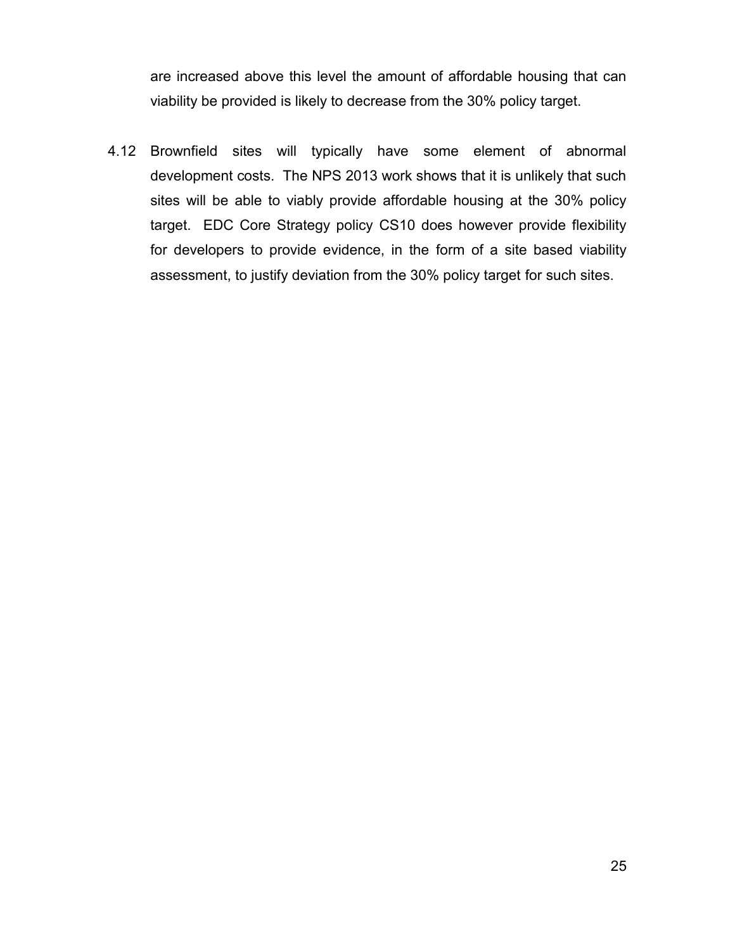are increased above this level the amount of affordable housing that can viability be provided is likely to decrease from the 30% policy target.

4.12 Brownfield sites will typically have some element of abnormal development costs. The NPS 2013 work shows that it is unlikely that such sites will be able to viably provide affordable housing at the 30% policy target. EDC Core Strategy policy CS10 does however provide flexibility for developers to provide evidence, in the form of a site based viability assessment, to justify deviation from the 30% policy target for such sites.